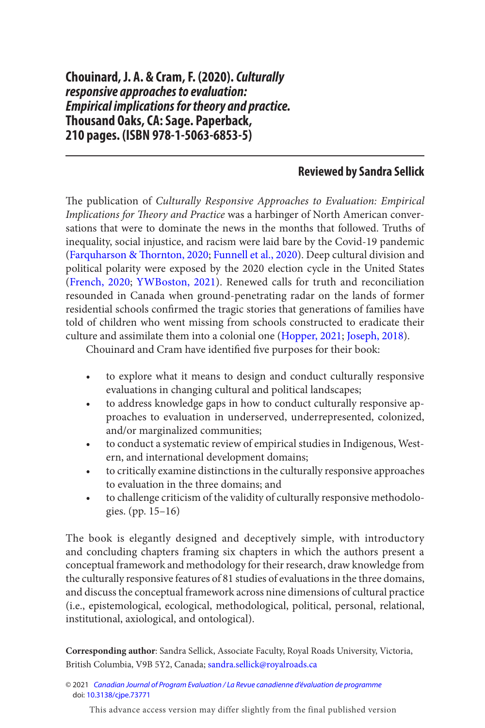## **Reviewed by Sandra Sellick**

<span id="page-0-0"></span>The publication of Culturally Responsive Approaches to Evaluation: Empirical Implications for Theory and Practice was a harbinger of North American conversations that were to dominate the news in the months that followed. Truths of inequality, social injustice, and racism were laid bare by the Covid-19 pandemic (Farquharson & Thornton, 2020; [Funnell et al., 2020](#page-3-0)). Deep cultural division and political polarity were exposed by the 2020 election cycle in the United States [\(French, 2020](#page-3-0); [YWBoston, 2021](#page-3-0)). Renewed calls for truth and reconciliation resounded in Canada when ground-penetrating radar on the lands of former residential schools confrmed the tragic stories that generations of families have told of children who went missing from schools constructed to eradicate their culture and assimilate them into a colonial one ([Hopper, 2021](#page-3-0); [Joseph, 2018](#page-3-0)).

Chouinard and Cram have identified five purposes for their book:

- to explore what it means to design and conduct culturally responsive evaluations in changing cultural and political landscapes;
- to address knowledge gaps in how to conduct culturally responsive approaches to evaluation in underserved, underrepresented, colonized, and/or marginalized communities;
- to conduct a systematic review of empirical studies in Indigenous, Western, and international development domains;
- to critically examine distinctions in the culturally responsive approaches to evaluation in the three domains; and
- to challenge criticism of the validity of culturally responsive methodologies. (pp. 15–16)

The book is elegantly designed and deceptively simple, with introductory and concluding chapters framing six chapters in which the authors present a conceptual framework and methodology for their research, draw knowledge from the culturally responsive features of 81 studies of evaluations in the three domains, and discuss the conceptual framework across nine dimensions of cultural practice (i.e., epistemological, ecological, methodological, political, personal, relational, institutional, axiological, and ontological).

**Corresponding author**: Sandra Sellick, Associate Faculty, Royal Roads University, Victoria, British Columbia, V9B 5Y2, Canada; [sandra.sellick@royalroads.ca](mailto:sandra.sellick@royalroads.ca) 

© 2021 [Canadian Journal of Program Evaluation / La Revue canadienne d'évaluation de programme](https://www.utpjournals.press/loi/cjpe)  doi: [10.3138/cjpe.73771](https://doi.org/10.3138//cjpe.73771)

This advance access version may differ slightly from the final published version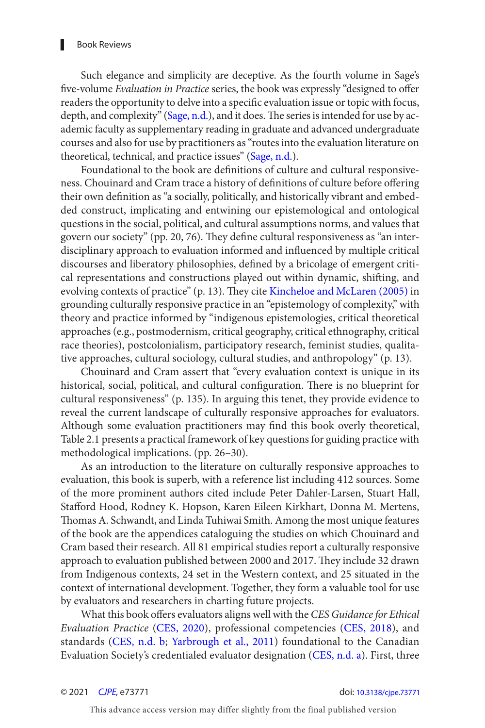<span id="page-1-0"></span>Such elegance and simplicity are deceptive. As the fourth volume in Sage's five-volume Evaluation in Practice series, the book was expressly "designed to offer readers the opportunity to delve into a specifc evaluation issue or topic with focus, depth, and complexity" ([Sage, n.d.](#page-3-0)), and it does. The series is intended for use by academic faculty as supplementary reading in graduate and advanced undergraduate courses and also for use by practitioners as "routes into the evaluation literature on theoretical, technical, and practice issues" ([Sage, n.d.](#page-3-0)).

Foundational to the book are defnitions of culture and cultural responsiveness. Chouinard and Cram trace a history of definitions of culture before offering their own defnition as "a socially, politically, and historically vibrant and embedded construct, implicating and entwining our epistemological and ontological questions in the social, political, and cultural assumptions norms, and values that govern our society" (pp. 20, 76). They define cultural responsiveness as "an interdisciplinary approach to evaluation informed and infuenced by multiple critical discourses and liberatory philosophies, defned by a bricolage of emergent critical representations and constructions played out within dynamic, shifting, and evolving contexts of practice" (p. 13). They cite Kincheloe and McLaren (2005) in grounding culturally responsive practice in an "epistemology of complexity," with theory and practice informed by "indigenous epistemologies, critical theoretical approaches (e.g., postmodernism, critical geography, critical ethnography, critical race theories), postcolonialism, participatory research, feminist studies, qualitative approaches, cultural sociology, cultural studies, and anthropology" (p. 13).

Chouinard and Cram assert that "every evaluation context is unique in its historical, social, political, and cultural configuration. There is no blueprint for cultural responsiveness" (p. 135). In arguing this tenet, they provide evidence to reveal the current landscape of culturally responsive approaches for evaluators. Although some evaluation practitioners may fnd this book overly theoretical, Table 2.1 presents a practical framework of key questions for guiding practice with methodological implications. (pp. 26–30).

As an introduction to the literature on culturally responsive approaches to evaluation, this book is superb, with a reference list including 412 sources. Some of the more prominent authors cited include Peter Dahler-Larsen, Stuart Hall, Staford Hood, Rodney K. Hopson, Karen Eileen Kirkhart, Donna M. Mertens, Thomas A. Schwandt, and Linda Tuhiwai Smith. Among the most unique features of the book are the appendices cataloguing the studies on which Chouinard and Cram based their research. All 81 empirical studies report a culturally responsive approach to evaluation published between 2000 and 2017. They include 32 drawn from Indigenous contexts, 24 set in the Western context, and 25 situated in the context of international development. Together, they form a valuable tool for use by evaluators and researchers in charting future projects.

What this book offers evaluators aligns well with the CES Guidance for Ethical Evaluation Practice ([CES, 2020](#page-2-0)), professional competencies ([CES, 2018](#page-2-0)), and standards ([CES, n.d. b](#page-2-0); [Yarbrough et al., 2011](#page-3-0)) foundational to the Canadian Evaluation Society's credentialed evaluator designation [\(CES, n.d. a\)](#page-2-0). First, three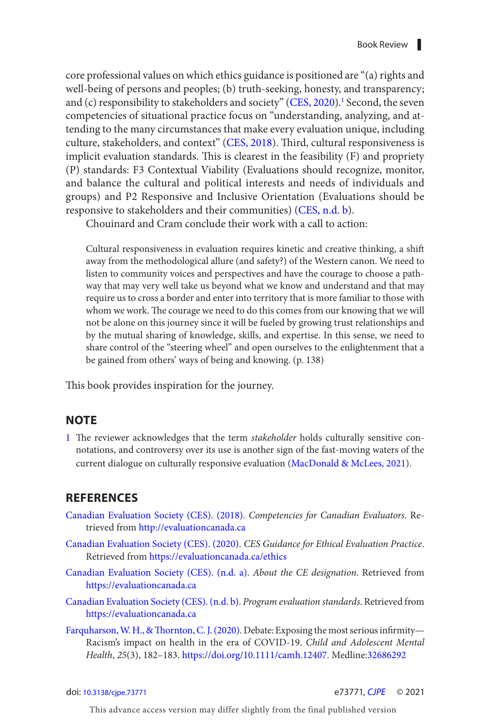<span id="page-2-0"></span>core professional values on which ethics guidance is positioned are "(a) rights and well-being of persons and peoples; (b) truth-seeking, honesty, and transparency; and (c) responsibility to stakeholders and society" (CES, 2020).<sup>1</sup> Second, the seven competencies of situational practice focus on "understanding, analyzing, and attending to the many circumstances that make every evaluation unique, including culture, stakeholders, and context" (CES, 2018). Third, cultural responsiveness is implicit evaluation standards. This is clearest in the feasibility  $(F)$  and propriety (P) standards: F3 Contextual Viability (Evaluations should recognize, monitor, and balance the cultural and political interests and needs of individuals and groups) and P2 Responsive and Inclusive Orientation (Evaluations should be responsive to stakeholders and their communities) (CES, n.d. b).

Chouinard and Cram conclude their work with a call to action:

Cultural responsiveness in evaluation requires kinetic and creative thinking, a shif away from the methodological allure (and safety?) of the Western canon. We need to listen to community voices and perspectives and have the courage to choose a pathway that may very well take us beyond what we know and understand and that may require us to cross a border and enter into territory that is more familiar to those with whom we work. The courage we need to do this comes from our knowing that we will not be alone on this journey since it will be fueled by growing trust relationships and by the mutual sharing of knowledge, skills, and expertise. In this sense, we need to share control of the "steering wheel" and open ourselves to the enlightenment that a be gained from others' ways of being and knowing. (p. 138)

This book provides inspiration for the journey.

## **NOTE**

1 The reviewer acknowledges that the term stakeholder holds culturally sensitive connotations, and controversy over its use is another sign of the fast-moving waters of the current dialogue on culturally responsive evaluation ([MacDonald & McLees, 2021](#page-3-0)).

## **REFERENCES**

- Canadian Evaluation Society (CES). (2018). Competencies for Canadian Evaluators. Retrieved from <http://evaluationcanada.ca>
- [Canadian Evaluation Society \(CES\) . \(2020\)](#page-1-0). CES Guidance for Ethical Evaluation Practice. Retrieved from <https://evaluationcanada.ca/ethics>
- Canadian Evaluation Society (CES). (n.d. a). About the CE designation. Retrieved from <https://evaluationcanada.ca>
- Canadian Evaluation Society (CES). (n.d. b). Program evaluation standards. Retrieved from <https://evaluationcanada.ca>
- Farquharson, W. H., & Thornton, C. J. (2020). Debate: Exposing the most serious infirmity-Racism's impact on health in the era of COVID-19 . Child and Adolescent Mental Health, 25(3), 182-183.<https://doi.org/10.1111/camh.12407>. Medline:32686292

doi: [10.3138/cjpe.73771](https://doi.org/10.3138//cjpe.73771) e73771, [CJPE](https://www.utpjournals.press/loi/cjpe) © 2021

This advance access version may differ slightly from the final published version